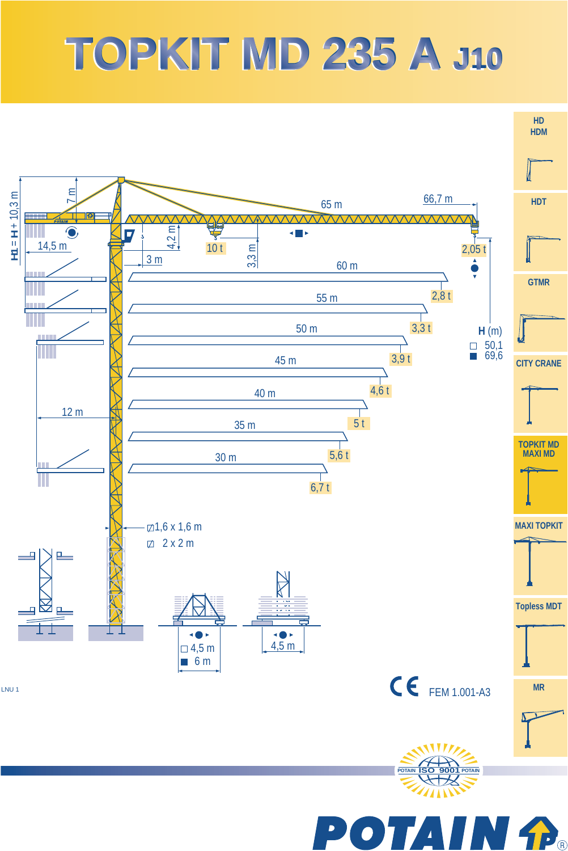## **TOPKIT MD 235 A TOPKIT MD 235 A J10 J10**



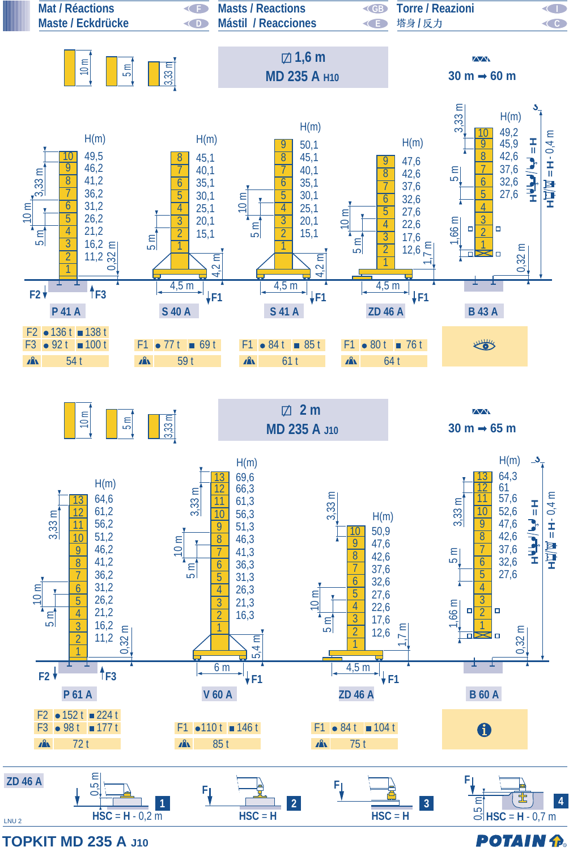

**TOPKIT MD 235 A J10**

**POTAIN P.**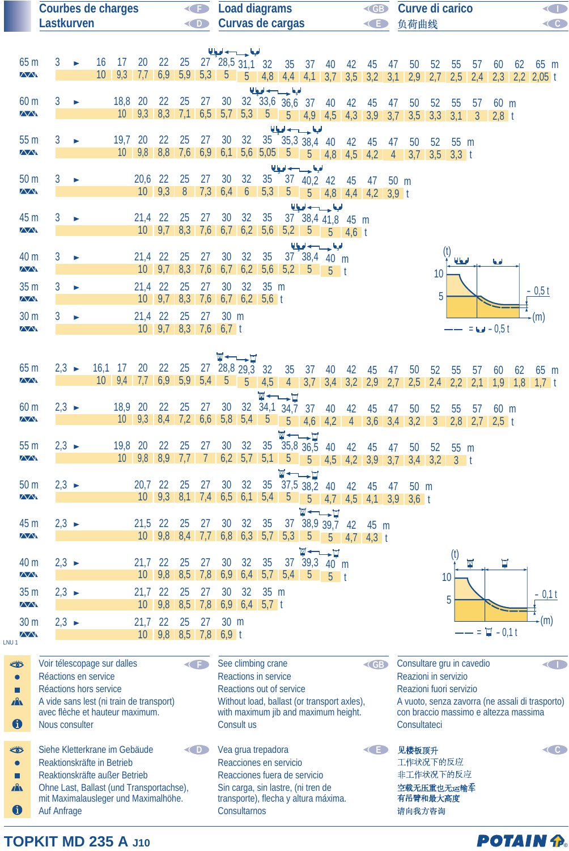|                                         | <b>Courbes de charges</b><br>Lastkurven                    |                   |                       |                                                                    |         |                                | O                        | <b>Load diagrams</b><br><gb<br>Curvas de cargas</gb<br> |            |                                                    |                     |                             |                                    |                                                                            |                          |           | Curve di carico<br>负荷曲线                                                                                  |    |                                                                                                                                                               |                 |                | O<br>C                  |                          |    |                                                                 |  |
|-----------------------------------------|------------------------------------------------------------|-------------------|-----------------------|--------------------------------------------------------------------|---------|--------------------------------|--------------------------|---------------------------------------------------------|------------|----------------------------------------------------|---------------------|-----------------------------|------------------------------------|----------------------------------------------------------------------------|--------------------------|-----------|----------------------------------------------------------------------------------------------------------|----|---------------------------------------------------------------------------------------------------------------------------------------------------------------|-----------------|----------------|-------------------------|--------------------------|----|-----------------------------------------------------------------|--|
|                                         |                                                            |                   |                       |                                                                    |         |                                |                          |                                                         | $\bigodot$ |                                                    |                     |                             |                                    |                                                                            |                          |           | G                                                                                                        |    |                                                                                                                                                               |                 |                |                         |                          |    |                                                                 |  |
|                                         |                                                            |                   |                       |                                                                    |         |                                |                          |                                                         |            | الملجا حسيب لحيا                                   |                     |                             |                                    |                                                                            |                          |           |                                                                                                          |    |                                                                                                                                                               |                 |                |                         |                          |    |                                                                 |  |
| 65 m<br>$\overline{\triangle\triangle}$ |                                                            | 3                 |                       | 16<br>10                                                           | 17      | 20                             | 22                       | 25                                                      |            | $27 \quad 28,5 \quad 31,1 \quad 32$                |                     |                             |                                    | 35 37 40                                                                   |                          | 42        | 45<br>9,3 7,7 6,9 5,9 5,3 5 5 4,8 4,4 4,1 3,7 3,5 3,2 3,1                                                | 47 | 50                                                                                                                                                            | 52<br>$2,9$ 2,7 | 55<br>2,5      | 57<br>2,4               | 60                       |    | $62$ $65$ m<br>$2,3$ 2,2 2,05 t                                 |  |
| 60 <sub>m</sub><br>$\sqrt{N}$           |                                                            | 3                 |                       |                                                                    | 18,8 20 |                                | 22                       | 25                                                      | 27         | 30 <sup>°</sup>                                    |                     |                             | الملحة وسيدانها                    | 32 33,6 36,6 37 40 42                                                      |                          |           | 45                                                                                                       | 47 | 50<br>$10 \mid 9,3 \mid 8,3 \mid 7,1 \mid 6,5 \mid 5,7 \mid 5,3 \mid 5 \mid 5 \mid 4,9 \mid 4,5 \mid 4,3 \mid 3,9 \mid 3,7 \mid 3,5 \mid 3,3 \mid 3,1 \mid 3$ | 52              | 55             | 57                      | 60 m<br>2.8 <sub>t</sub> |    |                                                                 |  |
|                                         |                                                            |                   |                       |                                                                    |         |                                |                          |                                                         |            |                                                    |                     |                             |                                    | الملجا حسيدانها                                                            |                          |           |                                                                                                          |    |                                                                                                                                                               |                 |                |                         |                          |    |                                                                 |  |
| 55 m<br>$\sqrt{\Lambda}$                |                                                            | 3                 | ь                     |                                                                    | 19,7 20 |                                | 22                       | 25                                                      | 27         | 30 <sup>°</sup>                                    | 32                  |                             |                                    | $35 \t35.3 \t38.4 \t40 \t42$                                               |                          |           | 45                                                                                                       | 47 | 50<br>10 9,8 8,8 7,6 6,9 6,1 5,6 5,05 5 5 4,8 4,5 4,2 4 3,7 3,5 3,3 t                                                                                         | 52              | $55 \text{ m}$ |                         |                          |    |                                                                 |  |
|                                         |                                                            |                   |                       |                                                                    |         |                                |                          |                                                         |            |                                                    |                     |                             |                                    | الملحة حسب لحيا                                                            |                          |           |                                                                                                          |    |                                                                                                                                                               |                 |                |                         |                          |    |                                                                 |  |
| 50 m<br>$\overline{\triangle\triangle}$ |                                                            | 3                 | $\blacktriangleright$ |                                                                    |         | $20,6$ 22                      | $10 \mid 9,3 \mid 8$     | 25                                                      | 27         | 30<br>7,36,46                                      | 32                  | 35                          |                                    | 37 40,2 42                                                                 |                          | 45        | 47<br>$\begin{array}{ c c c c c c c c c } \hline 5,3 & 5 & 5 & 4,8 & 4,4 & 4,2 & 3,9 \hline \end{array}$ |    | 50 m                                                                                                                                                          |                 |                |                         |                          |    |                                                                 |  |
| 45 m<br>$\Delta\!\Delta$                |                                                            | 3                 | $\blacktriangleright$ |                                                                    |         | 21,4 22                        |                          | 25                                                      | 27         | 30                                                 | 32                  | 35                          | $10$ 9,7 8,3 7,6 6,7 6,2 5,6 5,2 5 | الملحة حسوب لحيا<br>37 38,4 41,8 45 m                                      | $5 \t 4,6 \t t$          |           |                                                                                                          |    |                                                                                                                                                               |                 |                |                         |                          |    |                                                                 |  |
| 40 m                                    |                                                            | 3                 |                       |                                                                    |         | $21,4$ 22                      |                          | 25                                                      | 27         | 30                                                 | 32                  | 35                          |                                    | الملحة حسب لحيط<br>$37^{1}38,4$ 40 m                                       |                          |           |                                                                                                          |    |                                                                                                                                                               |                 |                |                         |                          |    |                                                                 |  |
| $\sqrt{N}$                              |                                                            |                   | $\blacktriangleright$ |                                                                    |         |                                | $10 \quad 9.7 \quad 8.3$ |                                                         | 7,6        |                                                    |                     | $6,7$ $6,2$ $5,6$           |                                    | $5,2$ $5$ $5$ t                                                            |                          |           |                                                                                                          |    |                                                                                                                                                               | 10              | امحالا         |                         | لها                      |    |                                                                 |  |
| 35 m<br>$\sqrt{N}$                      |                                                            | 3                 | $\blacktriangleright$ |                                                                    |         | $21,4$ 22                      |                          | 25                                                      | 27         | 30 <sup>°</sup><br>$10$ 9,7 8,3 7,6 6,7 6,2 5,6 t  | 32                  | $35 \text{ m}$              |                                    |                                                                            |                          |           |                                                                                                          |    |                                                                                                                                                               | 5               |                |                         |                          |    | $-0,5t$                                                         |  |
| 30 m                                    |                                                            | 3                 | $\blacktriangleright$ |                                                                    |         | 21,4 22 25                     |                          |                                                         | 27         | 30 m                                               |                     |                             |                                    |                                                                            |                          |           |                                                                                                          |    |                                                                                                                                                               |                 |                |                         |                          |    | -(m)                                                            |  |
| $\sqrt{\Lambda}$                        |                                                            |                   |                       |                                                                    |         |                                |                          |                                                         |            | 10 $9,7$ 8,3 7,6 6,7 t                             |                     |                             |                                    |                                                                            |                          |           |                                                                                                          |    |                                                                                                                                                               |                 |                |                         | $= 6 - 0.5 t$            |    |                                                                 |  |
|                                         |                                                            |                   |                       |                                                                    |         |                                |                          |                                                         |            | ॼॱ╾╌╾ॼ                                             |                     |                             |                                    |                                                                            |                          |           |                                                                                                          |    |                                                                                                                                                               |                 |                |                         |                          |    |                                                                 |  |
| 65 m<br>$\overline{\wedge}\wedge$       |                                                            | $2,3 \rightarrow$ |                       | $16,1$ 17                                                          |         | 20<br>$10 \quad 9,4 \quad 7,7$ | 22                       | 25                                                      |            | $27\quad 28,8\; 29,3$<br>$6,9$ $5,9$ $5,4$ $5$ $5$ |                     |                             |                                    |                                                                            |                          |           |                                                                                                          | 47 | 50                                                                                                                                                            | 52              | 55             | 57                      | 60                       | 62 | 65 m<br>4,5 4 3,7 3,4 3,2 2,9 2,7 2,5 2,4 2,2 2,1 1,9 1,8 1,7 t |  |
| 60 m                                    |                                                            | $2,3 \rightarrow$ |                       |                                                                    | 18,9 20 |                                | 22                       | 25                                                      | 27         | 30                                                 |                     |                             | <b>W←→⊔</b><br>32 34,1 34,7 37     |                                                                            | 40                       | 42        | 45                                                                                                       | 47 | 50                                                                                                                                                            | 52              | 55             | 57                      | 60 m                     |    |                                                                 |  |
| $\Delta\!\Delta$                        |                                                            |                   |                       |                                                                    |         | $10$ 9,3 8,4 7,2 6,6 5,8 5,4 5 |                          |                                                         |            |                                                    |                     |                             | $5\overline{)}$                    |                                                                            |                          |           |                                                                                                          |    | $4,6$ 4,2 4 3,6 3,4 3,2 3 2,8 2,7 2,5 t                                                                                                                       |                 |                |                         |                          |    |                                                                 |  |
| 55 <sub>m</sub>                         |                                                            | $2,3 \rightarrow$ |                       |                                                                    | 19,8 20 |                                | 22                       | 25                                                      | 27         | 30                                                 | 32                  |                             |                                    | <b>W←→⊔</b><br>35 35,8 36,5                                                |                          |           |                                                                                                          |    |                                                                                                                                                               |                 |                |                         |                          |    |                                                                 |  |
| $\overline{\wedge}$                     |                                                            |                   |                       |                                                                    |         | $10 \mid 9,8 \mid 8,9$         |                          | 7,7                                                     |            |                                                    |                     |                             |                                    |                                                                            | 40                       | 42        | 45                                                                                                       | 47 | 50<br>$7$ 6,2 5,7 5,1 5 5 4,5 4,2 3,9 3,7 3,4 3,2 3 t                                                                                                         | 52              | 55 m           |                         |                          |    |                                                                 |  |
|                                         |                                                            |                   |                       |                                                                    |         |                                |                          |                                                         |            |                                                    |                     |                             |                                    | <b>W←→™</b>                                                                |                          |           |                                                                                                          |    |                                                                                                                                                               |                 |                |                         |                          |    |                                                                 |  |
| 50 m<br>$\sqrt{N}$                      |                                                            | $2,3 \rightarrow$ |                       |                                                                    |         | 20,7 22<br>10                  | 9,3                      | 25<br>8,1                                               | 27         | 30<br>$7,4$ 6,5 6,1                                | 32                  | 35<br>5,4                   | 5                                  | $37,5$ $38,2$<br>5                                                         | 40<br>4.7                | 42<br>4,5 | 45<br>$4,1$ 3,9                                                                                          | 47 | 50 m<br>$3,6$ t                                                                                                                                               |                 |                |                         |                          |    |                                                                 |  |
|                                         |                                                            |                   |                       |                                                                    |         |                                |                          |                                                         |            |                                                    |                     |                             |                                    | M                                                                          | $\overline{\phantom{a}}$ |           |                                                                                                          |    |                                                                                                                                                               |                 |                |                         |                          |    |                                                                 |  |
| 45 m<br>$\overline{\wedge}$             |                                                            | $2,3 \rightarrow$ |                       |                                                                    |         | 21,5 22<br>10                  | $9,8$ 8,4                | 25                                                      | 27<br>7,7  | 30                                                 | 32<br>$6,8$ 6,3 5,7 | 35                          | 37<br>5,3                          | 38,9 39,7<br>-5                                                            |                          | 42        | 45 m                                                                                                     |    |                                                                                                                                                               |                 |                |                         |                          |    |                                                                 |  |
|                                         |                                                            |                   |                       |                                                                    |         |                                |                          |                                                         |            |                                                    |                     |                             |                                    | W ←                                                                        | 5<br>∸−¤                 | 4,7       | $4,3$ t                                                                                                  |    |                                                                                                                                                               |                 |                |                         |                          |    |                                                                 |  |
| 40 <sub>m</sub>                         |                                                            | $2,3 \rightarrow$ |                       |                                                                    |         | 21,7 22                        |                          | 25                                                      | 27         | 30                                                 | 32                  | 35                          | 37                                 |                                                                            | $39,3$ 40 m              |           |                                                                                                          |    |                                                                                                                                                               |                 |                | $\overline{\mathbb{M}}$ | $\overline{u}$           |    |                                                                 |  |
| $\Delta\!\Delta$                        |                                                            |                   |                       |                                                                    |         | 10                             | 9,8                      | 8,5                                                     | 7,8        | 6,9                                                |                     | $6,4$ 5,7                   | 5,4                                | -5                                                                         | $5-1$                    |           |                                                                                                          |    |                                                                                                                                                               |                 | 10             |                         |                          |    |                                                                 |  |
| 35 m<br>$\sqrt{N}$                      |                                                            | $2,3 \rightarrow$ |                       |                                                                    |         | 21,7<br>10                     | 22<br>9,8                | 25<br>8,5                                               | 27<br>7,8  | 30                                                 | 32                  | 35 m<br>$6,9$ 6,4 5,7 t     |                                    |                                                                            |                          |           |                                                                                                          |    |                                                                                                                                                               |                 | 5              |                         |                          |    | $-0,1$ t                                                        |  |
| 30 m                                    |                                                            | $2,3 \rightarrow$ |                       |                                                                    |         | 21,7                           | 22                       | 25                                                      | 27         | 30 m                                               |                     |                             |                                    |                                                                            |                          |           |                                                                                                          |    |                                                                                                                                                               |                 |                |                         |                          |    | $\cdot$ (m)                                                     |  |
| $\overline{\wedge}$<br>LNU <sub>1</sub> |                                                            |                   |                       |                                                                    |         |                                |                          |                                                         |            | 10 9,8 8,5 7,8 6,9 t                               |                     |                             |                                    |                                                                            |                          |           |                                                                                                          |    |                                                                                                                                                               |                 |                | Ξ                       | $\Box$ - 0.1 t           |    |                                                                 |  |
| ₩                                       |                                                            |                   |                       | Voir télescopage sur dalles                                        |         |                                |                          |                                                         |            |                                                    |                     | See climbing crane          |                                    |                                                                            |                          |           | <b>CGB</b>                                                                                               |    | Consultare gru in cavedio                                                                                                                                     |                 |                |                         |                          |    |                                                                 |  |
| $\bullet$                               |                                                            |                   |                       | Réactions en service                                               |         |                                |                          |                                                         |            |                                                    |                     | <b>Reactions in service</b> |                                    |                                                                            |                          |           |                                                                                                          |    | Reazioni in servizio                                                                                                                                          |                 |                |                         |                          |    |                                                                 |  |
| П<br>$\mathbf{A}$                       |                                                            |                   |                       | Réactions hors service<br>A vide sans lest (ni train de transport) |         |                                |                          |                                                         |            |                                                    |                     |                             | Reactions out of service           | Without load, ballast (or transport axles),                                |                          |           |                                                                                                          |    | Reazioni fuori servizio                                                                                                                                       |                 |                |                         |                          |    | A vuoto, senza zavorra (ne assali di trasporto)                 |  |
| $\bf \bm \theta$                        | Nous consulter                                             |                   |                       | avec flèche et hauteur maximum.                                    |         |                                |                          |                                                         |            |                                                    | Consult us          |                             |                                    | with maximum jib and maximum height.                                       |                          |           |                                                                                                          |    | con braccio massimo e altezza massima<br>Consultateci                                                                                                         |                 |                |                         |                          |    |                                                                 |  |
| ₩                                       |                                                            |                   |                       | Siehe Kletterkrane im Gebäude                                      |         |                                |                          |                                                         | KD)        |                                                    |                     | Vea grua trepadora          |                                    |                                                                            |                          |           | K E I                                                                                                    |    | 见楼板顶升                                                                                                                                                         |                 |                |                         |                          |    | C                                                               |  |
| $\bullet$                               |                                                            |                   |                       | Reaktionskräfte in Betrieb                                         |         |                                |                          |                                                         |            |                                                    |                     |                             | Reacciones en servicio             |                                                                            |                          |           |                                                                                                          |    | 工作状况下的反应                                                                                                                                                      |                 |                |                         |                          |    |                                                                 |  |
| п<br>A                                  |                                                            |                   |                       | Reaktionskräfte außer Betrieb                                      |         |                                |                          |                                                         |            |                                                    |                     |                             |                                    | Reacciones fuera de servicio                                               |                          |           |                                                                                                          |    | 非工作状况下的反应<br>空载无压重也无运输车                                                                                                                                       |                 |                |                         |                          |    |                                                                 |  |
|                                         |                                                            |                   |                       | Ohne Last, Ballast (und Transportachse),                           |         |                                |                          |                                                         |            |                                                    |                     |                             |                                    | Sin carga, sin lastre, (ni tren de<br>transporte), flecha y altura máxima. |                          |           |                                                                                                          |    | 有吊臂和最大高度                                                                                                                                                      |                 |                |                         |                          |    |                                                                 |  |
| $\bf \bm \theta$                        | mit Maximalausleger und Maximalhöhe.<br><b>Auf Anfrage</b> |                   |                       |                                                                    |         |                                |                          |                                                         |            |                                                    | Consultarnos        |                             |                                    |                                                                            |                          |           |                                                                                                          |    | 请向我方咨询                                                                                                                                                        |                 |                |                         |                          |    |                                                                 |  |

## **TOPKIT MD 235 A J10**

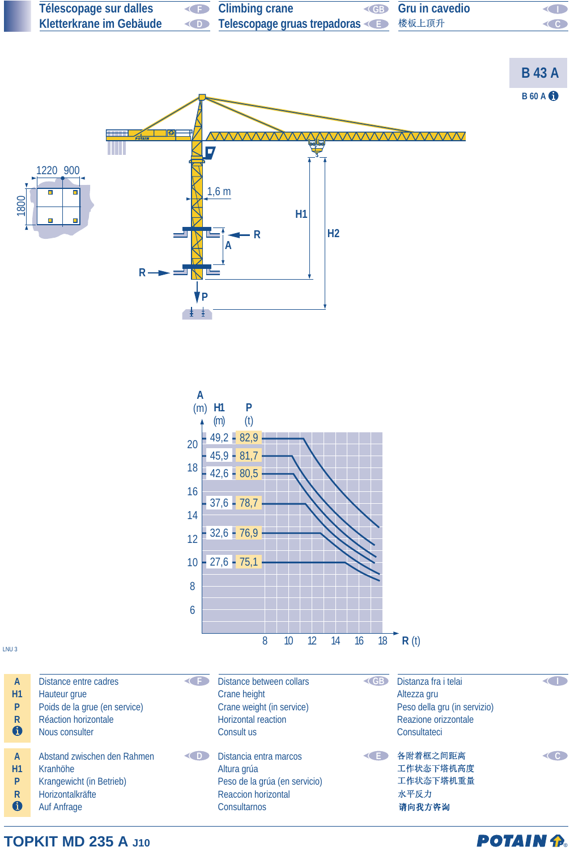

**TOPKIT MD 235 A J10**

## **POTAIN P.**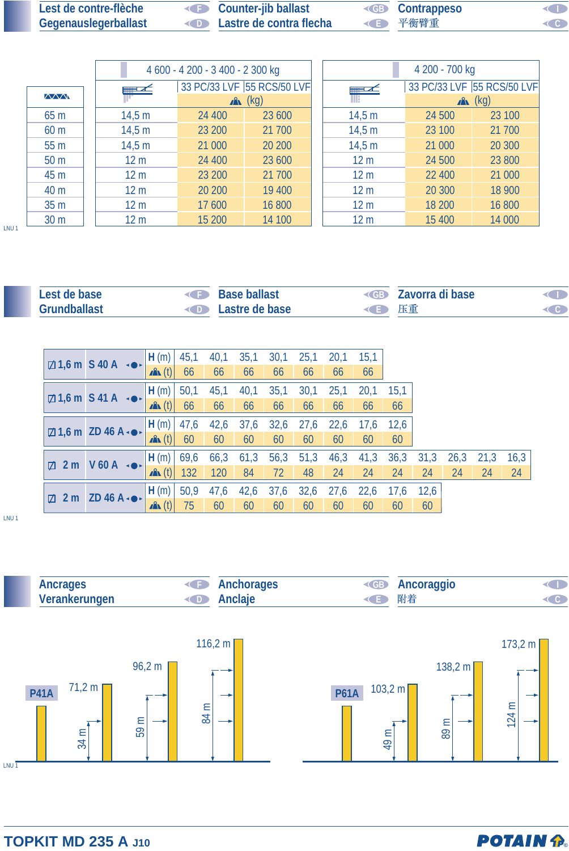| Lest de contre-flèche | <b>Counter-jib ballast</b>                | <b>EB</b> Contrappeso | $\triangleleft$ |
|-----------------------|-------------------------------------------|-----------------------|-----------------|
| Gegenauslegerballast  | <b>Example 20 Lastre de contra flecha</b> | √■ 平衡臂重               | $\triangleleft$ |

|                 |                 | 4 600 - 4 200 - 3 400 - 2 300 kg |                            | 4 200 - 700 kg             |                 |        |        |  |  |
|-----------------|-----------------|----------------------------------|----------------------------|----------------------------|-----------------|--------|--------|--|--|
|                 | $\equiv$ $\sim$ |                                  | 33 PC/33 LVF 55 RCS/50 LVF | 33 PC/33 LVF 55 RCS/50 LVF |                 |        |        |  |  |
| <b>MWW</b>      |                 |                                  | $x^2$ (kg)                 | $x^2$ (kg)                 |                 |        |        |  |  |
| 65 m            | 14,5 m          | 24 400                           | 23 600                     |                            | 14,5 m          | 24 500 | 23 100 |  |  |
| 60 <sub>m</sub> | 14,5 m          | 23 200                           | 21 700                     |                            | 14,5 m          | 23 100 | 21 700 |  |  |
| 55 <sub>m</sub> | 14,5 m          | 21 000                           | 20 200                     |                            | 14,5 m          | 21 000 | 20 300 |  |  |
| 50 <sub>m</sub> | 12 <sub>m</sub> | 24 400                           | 23 600                     |                            | 12 <sub>m</sub> | 24 500 | 23 800 |  |  |
| 45 m            | 12 <sub>m</sub> | 23 200                           | 21 700                     |                            | 12 <sub>m</sub> | 22 400 | 21 000 |  |  |
| 40 m            | 12 <sub>m</sub> | 20 200                           | 19 400                     |                            | 12 <sub>m</sub> | 20 300 | 18 900 |  |  |
| 35 <sub>m</sub> | 12 <sub>m</sub> | 17 600                           | 16 800                     |                            | 12 <sub>m</sub> | 18 200 | 16 800 |  |  |
| 30 <sub>m</sub> | 12 <sub>m</sub> | 15 200                           | 14 100                     |                            | 12 <sub>m</sub> | 15 400 | 14 000 |  |  |

LNU 1

| Lest de base        | Base ballast                    | $\triangle$ GB | - Zavorra di base |                     |
|---------------------|---------------------------------|----------------|-------------------|---------------------|
| <b>Grundballast</b> | <b>Example 2</b> Lastre de base | ◆ 上車           |                   | $\subset$ $\subset$ |

|                                          | $\boxtimes$ 1,6 m S 40 A $\rightarrow$         | H(m)               | 45,1 | 40,1 | 35,1 | 30,1 | 25,1 | 20,1 | 15,1 |      |      |      |      |      |
|------------------------------------------|------------------------------------------------|--------------------|------|------|------|------|------|------|------|------|------|------|------|------|
|                                          |                                                | $\mathbf{A}$ (t)   | 66   | 66   | 66   | 66   | 66   | 66   | 66   |      |      |      |      |      |
|                                          | $\boxtimes$ 1,6 m S 41 A $\cdot \bullet \cdot$ | H(m)               | 50,1 | 45,1 | 40,1 | 35,1 | 30,1 | 25,1 | 20,1 | 15,1 |      |      |      |      |
|                                          |                                                | $\mathbf{A}$ (t)   | 66   | 66   | 66   | 66   | 66   | 66   | 66   | 66   |      |      |      |      |
|                                          | $\boxtimes$ 1,6 m ZD 46 A $\bullet\bullet$     | H(m)               | 47,6 | 42,6 | 37,6 | 32,6 | 27,6 | 22,6 | 17,6 | 12,6 |      |      |      |      |
|                                          |                                                | $\mathbf{A}$ (t)   | 60   | 60   | 60   | 60   | 60   | 60   | 60   | 60   |      |      |      |      |
|                                          | $V$ 60 A $\rightarrow$                         | H(m)               | 69,6 | 66,3 | 61,3 | 56,3 | 51,3 | 46,3 | 41,3 | 36,3 | 31,3 | 26,3 | 21,3 | 16,3 |
| $\boxtimes$ 2 m                          |                                                | $\mathbf{A}$ (t)   | 132  | 120  | 84   | 72   | 48   | 24   | 24   | 24   | 24   | 24   | 24   | 24   |
| $\boxtimes$ 2 m ZD 46 A $\bullet\bullet$ |                                                | H(m)               | 50,9 | 41,6 | 42,6 | 37,6 | 32,6 | 27,6 | 22,6 | 17,6 | 12,6 |      |      |      |
|                                          |                                                | $\mathbf{A}$ $(t)$ | 75   | 60   | 60   | 60   | 60   | 60   | 60   | 60   | 60   |      |      |      |

LNU 1